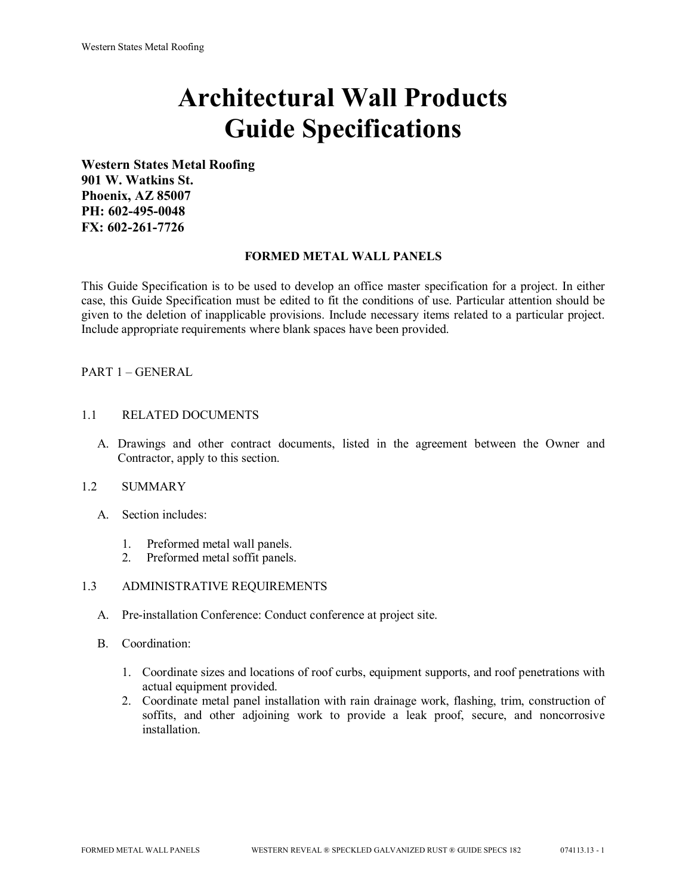# **Architectural Wall Products Guide Specifications**

**Western States Metal Roofing 901 W. Watkins St. Phoenix, AZ 85007 PH: 602-495-0048 FX: 602-261-7726**

#### **FORMED METAL WALL PANELS**

This Guide Specification is to be used to develop an office master specification for a project. In either case, this Guide Specification must be edited to fit the conditions of use. Particular attention should be given to the deletion of inapplicable provisions. Include necessary items related to a particular project. Include appropriate requirements where blank spaces have been provided.

# PART 1 – GENERAL

### 1.1 RELATED DOCUMENTS

A. Drawings and other contract documents, listed in the agreement between the Owner and Contractor, apply to this section.

#### 1.2 SUMMARY

- A. Section includes:
	- 1. Preformed metal wall panels.
	- 2. Preformed metal soffit panels.

# 1.3 ADMINISTRATIVE REQUIREMENTS

- A. Pre-installation Conference: Conduct conference at project site.
- B. Coordination:
	- 1. Coordinate sizes and locations of roof curbs, equipment supports, and roof penetrations with actual equipment provided.
	- 2. Coordinate metal panel installation with rain drainage work, flashing, trim, construction of soffits, and other adjoining work to provide a leak proof, secure, and noncorrosive installation.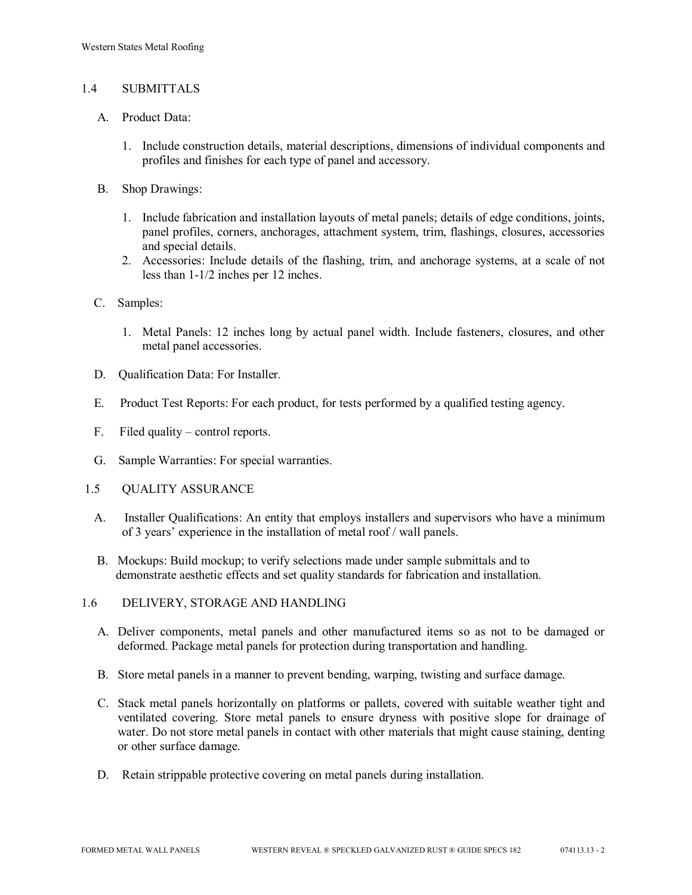## 1.4 SUBMITTALS

- A. Product Data:
	- 1. Include construction details, material descriptions, dimensions of individual components and profiles and finishes for each type of panel and accessory.
- B. Shop Drawings:
	- 1. Include fabrication and installation layouts of metal panels; details of edge conditions, joints, panel profiles, corners, anchorages, attachment system, trim, flashings, closures, accessories and special details.
	- 2. Accessories: Include details of the flashing, trim, and anchorage systems, at a scale of not less than 1-1/2 inches per 12 inches.
- C. Samples:
	- 1. Metal Panels: 12 inches long by actual panel width. Include fasteners, closures, and other metal panel accessories.
- D. Qualification Data: For Installer.
- E. Product Test Reports: For each product, for tests performed by a qualified testing agency.
- F. Filed quality control reports.
- G. Sample Warranties: For special warranties.
- 1.5 QUALITY ASSURANCE
	- A. Installer Qualifications: An entity that employs installers and supervisors who have a minimum of 3 years' experience in the installation of metal roof / wall panels.
	- B. Mockups: Build mockup; to verify selections made under sample submittals and to demonstrate aesthetic effects and set quality standards for fabrication and installation.
- 1.6 DELIVERY, STORAGE AND HANDLING
	- A. Deliver components, metal panels and other manufactured items so as not to be damaged or deformed. Package metal panels for protection during transportation and handling.
	- B. Store metal panels in a manner to prevent bending, warping, twisting and surface damage.
	- C. Stack metal panels horizontally on platforms or pallets, covered with suitable weather tight and ventilated covering. Store metal panels to ensure dryness with positive slope for drainage of water. Do not store metal panels in contact with other materials that might cause staining, denting or other surface damage.
	- D. Retain strippable protective covering on metal panels during installation.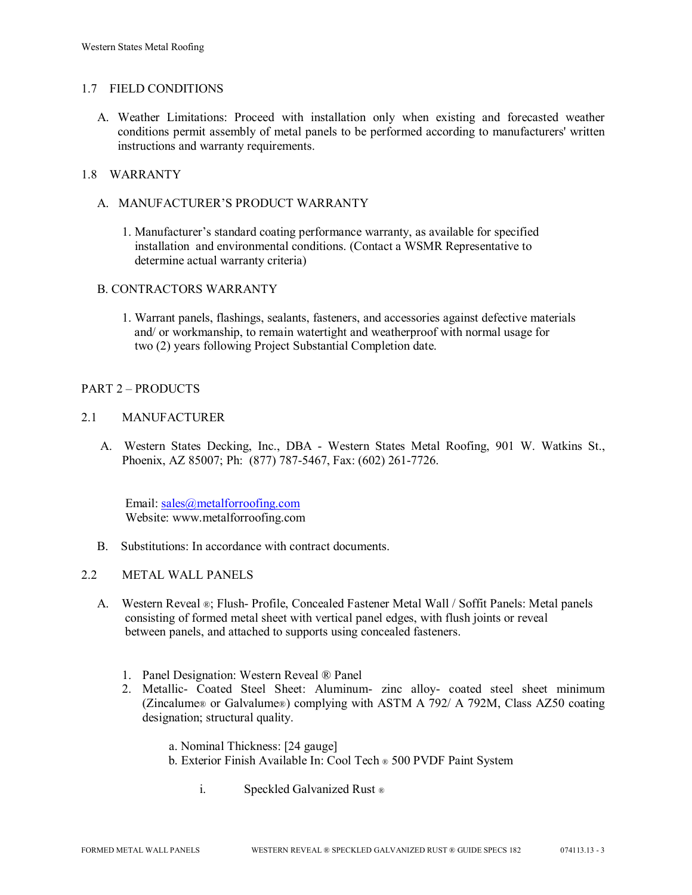## 1.7 FIELD CONDITIONS

A. Weather Limitations: Proceed with installation only when existing and forecasted weather conditions permit assembly of metal panels to be performed according to manufacturers' written instructions and warranty requirements.

## 1.8 WARRANTY

- A. MANUFACTURER'S PRODUCT WARRANTY
	- 1. Manufacturer's standard coating performance warranty, as available for specified installation and environmental conditions. (Contact a WSMR Representative to determine actual warranty criteria)

# B. CONTRACTORS WARRANTY

1. Warrant panels, flashings, sealants, fasteners, and accessories against defective materials and/ or workmanship, to remain watertight and weatherproof with normal usage for two (2) years following Project Substantial Completion date.

# PART 2 – PRODUCTS

## 2.1 MANUFACTURER

 A. Western States Decking, Inc., DBA - Western States Metal Roofing, 901 W. Watkins St., Phoenix, AZ 85007; Ph: (877) 787-5467, Fax: (602) 261-7726.

Email: [sales@metalforroofing.com](mailto:sales@metalforroofing.com) Website: www.metalforroofing.com

- B. Substitutions: In accordance with contract documents.
- 2.2 METAL WALL PANELS
	- A. Western Reveal ®; Flush- Profile, Concealed Fastener Metal Wall / Soffit Panels: Metal panels consisting of formed metal sheet with vertical panel edges, with flush joints or reveal between panels, and attached to supports using concealed fasteners.
		- 1. Panel Designation: Western Reveal ® Panel
		- 2. Metallic- Coated Steel Sheet: Aluminum- zinc alloy- coated steel sheet minimum (Zincalume® or Galvalume®) complying with ASTM A 792/ A 792M, Class AZ50 coating designation; structural quality.

 a. Nominal Thickness: [24 gauge] b. Exterior Finish Available In: Cool Tech ® 500 PVDF Paint System

i. Speckled Galvanized Rust ®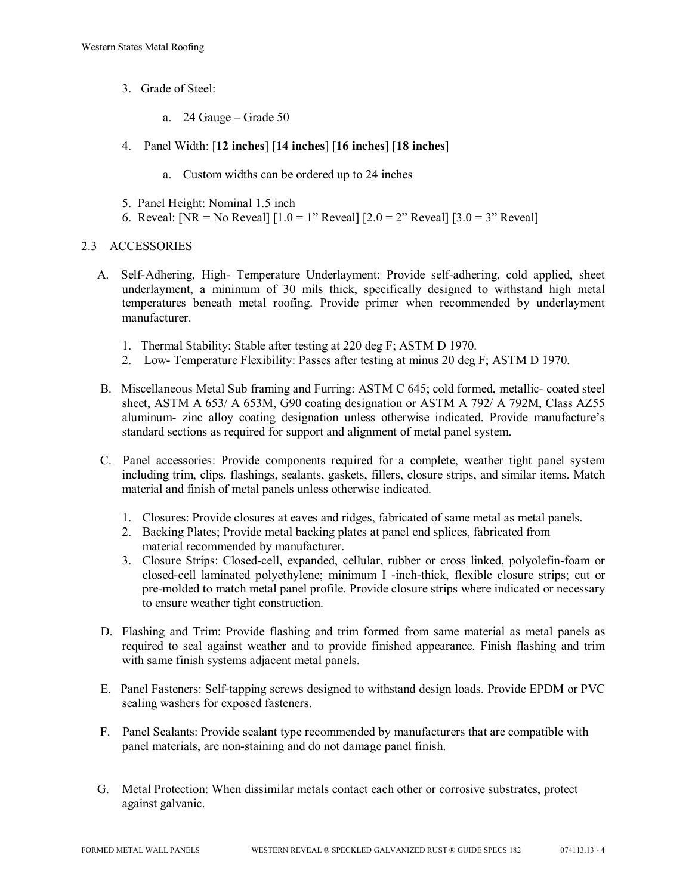- 3. Grade of Steel:
	- a. 24 Gauge Grade 50
- 4. Panel Width: [**12 inches**] [**14 inches**] [**16 inches**] [**18 inches**]
	- a. Custom widths can be ordered up to 24 inches
- 5. Panel Height: Nominal 1.5 inch
- 6. Reveal: [NR = No Reveal]  $[1.0 = 1$ " Reveal]  $[2.0 = 2$ " Reveal]  $[3.0 = 3$ " Reveal]

# 2.3 ACCESSORIES

- A. Self-Adhering, High- Temperature Underlayment: Provide self-adhering, cold applied, sheet underlayment, a minimum of 30 mils thick, specifically designed to withstand high metal temperatures beneath metal roofing. Provide primer when recommended by underlayment manufacturer.
	- 1. Thermal Stability: Stable after testing at 220 deg F; ASTM D 1970.
	- 2. Low- Temperature Flexibility: Passes after testing at minus 20 deg F; ASTM D 1970.
- B. Miscellaneous Metal Sub framing and Furring: ASTM C 645; cold formed, metallic- coated steel sheet, ASTM A 653/ A 653M, G90 coating designation or ASTM A 792/ A 792M, Class AZ55 aluminum- zinc alloy coating designation unless otherwise indicated. Provide manufacture's standard sections as required for support and alignment of metal panel system.
- C. Panel accessories: Provide components required for a complete, weather tight panel system including trim, clips, flashings, sealants, gaskets, fillers, closure strips, and similar items. Match material and finish of metal panels unless otherwise indicated.
	- 1. Closures: Provide closures at eaves and ridges, fabricated of same metal as metal panels.
	- 2. Backing Plates; Provide metal backing plates at panel end splices, fabricated from material recommended by manufacturer.
	- 3. Closure Strips: Closed-cell, expanded, cellular, rubber or cross linked, polyolefin-foam or closed-cell laminated polyethylene; minimum I -inch-thick, flexible closure strips; cut or pre-molded to match metal panel profile. Provide closure strips where indicated or necessary to ensure weather tight construction.
- D. Flashing and Trim: Provide flashing and trim formed from same material as metal panels as required to seal against weather and to provide finished appearance. Finish flashing and trim with same finish systems adjacent metal panels.
- E. Panel Fasteners: Self-tapping screws designed to withstand design loads. Provide EPDM or PVC sealing washers for exposed fasteners.
- F. Panel Sealants: Provide sealant type recommended by manufacturers that are compatible with panel materials, are non-staining and do not damage panel finish.
- G. Metal Protection: When dissimilar metals contact each other or corrosive substrates, protect against galvanic.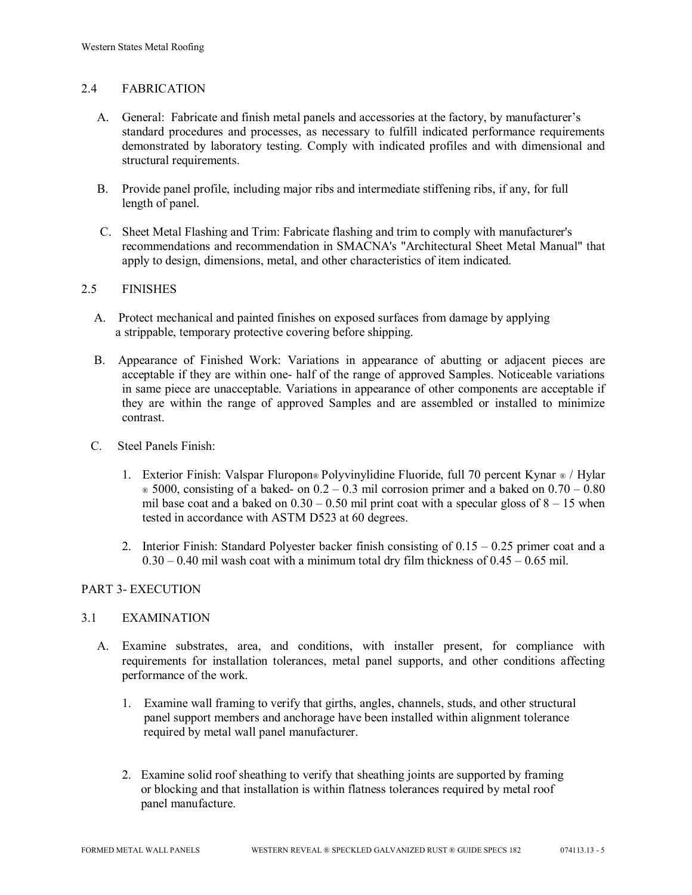# 2.4 FABRICATION

- A. General: Fabricate and finish metal panels and accessories at the factory, by manufacturer's standard procedures and processes, as necessary to fulfill indicated performance requirements demonstrated by laboratory testing. Comply with indicated profiles and with dimensional and structural requirements.
- B. Provide panel profile, including major ribs and intermediate stiffening ribs, if any, for full length of panel.
- C. Sheet Metal Flashing and Trim: Fabricate flashing and trim to comply with manufacturer's recommendations and recommendation in SMACNA's "Architectural Sheet Metal Manual" that apply to design, dimensions, metal, and other characteristics of item indicated.

#### 2.5 FINISHES

- A. Protect mechanical and painted finishes on exposed surfaces from damage by applying a strippable, temporary protective covering before shipping.
- B. Appearance of Finished Work: Variations in appearance of abutting or adjacent pieces are acceptable if they are within one- half of the range of approved Samples. Noticeable variations in same piece are unacceptable. Variations in appearance of other components are acceptable if they are within the range of approved Samples and are assembled or installed to minimize contrast.
- C. Steel Panels Finish:
	- 1. Exterior Finish: Valspar Fluropon® Polyvinylidine Fluoride, full 70 percent Kynar ® / Hylar  $\in$  5000, consisting of a baked- on 0.2 – 0.3 mil corrosion primer and a baked on 0.70 – 0.80 mil base coat and a baked on  $0.30 - 0.50$  mil print coat with a specular gloss of  $8 - 15$  when tested in accordance with ASTM D523 at 60 degrees.
	- 2. Interior Finish: Standard Polyester backer finish consisting of  $0.15 0.25$  primer coat and a  $0.30 - 0.40$  mil wash coat with a minimum total dry film thickness of  $0.45 - 0.65$  mil.

#### PART 3- EXECUTION

#### 3.1 EXAMINATION

- A. Examine substrates, area, and conditions, with installer present, for compliance with requirements for installation tolerances, metal panel supports, and other conditions affecting performance of the work.
	- 1. Examine wall framing to verify that girths, angles, channels, studs, and other structural panel support members and anchorage have been installed within alignment tolerance required by metal wall panel manufacturer.
	- 2. Examine solid roof sheathing to verify that sheathing joints are supported by framing or blocking and that installation is within flatness tolerances required by metal roof panel manufacture.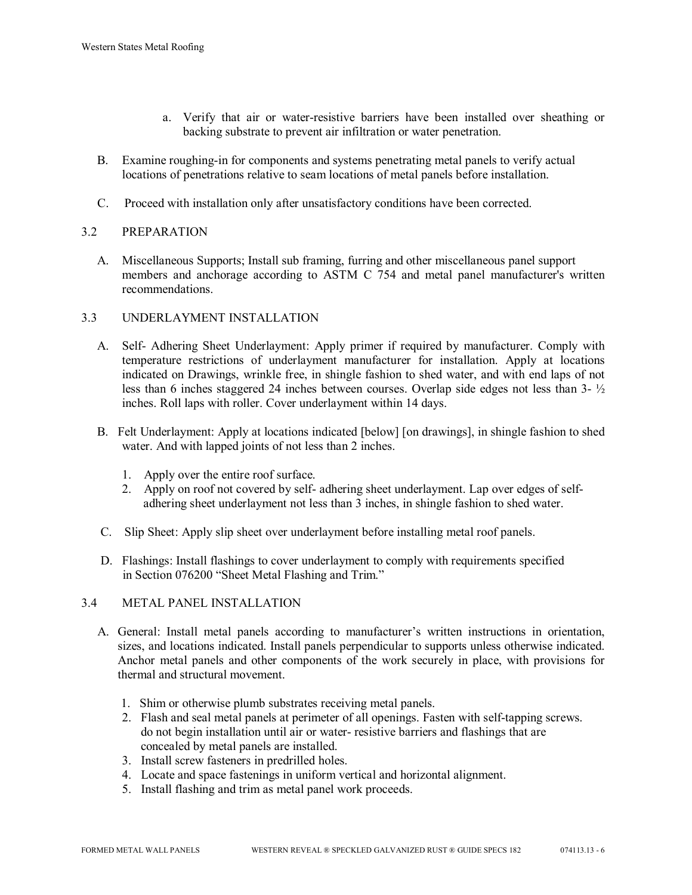- a. Verify that air or water-resistive barriers have been installed over sheathing or backing substrate to prevent air infiltration or water penetration.
- B. Examine roughing-in for components and systems penetrating metal panels to verify actual locations of penetrations relative to seam locations of metal panels before installation.
- C. Proceed with installation only after unsatisfactory conditions have been corrected.

# 3.2 PREPARATION

 A. Miscellaneous Supports; Install sub framing, furring and other miscellaneous panel support members and anchorage according to ASTM C 754 and metal panel manufacturer's written recommendations.

# 3.3 UNDERLAYMENT INSTALLATION

- A. Self- Adhering Sheet Underlayment: Apply primer if required by manufacturer. Comply with temperature restrictions of underlayment manufacturer for installation. Apply at locations indicated on Drawings, wrinkle free, in shingle fashion to shed water, and with end laps of not less than 6 inches staggered 24 inches between courses. Overlap side edges not less than 3- ½ inches. Roll laps with roller. Cover underlayment within 14 days.
- B. Felt Underlayment: Apply at locations indicated [below] [on drawings], in shingle fashion to shed water. And with lapped joints of not less than 2 inches.
	- 1. Apply over the entire roof surface.
	- 2. Apply on roof not covered by self- adhering sheet underlayment. Lap over edges of self adhering sheet underlayment not less than 3 inches, in shingle fashion to shed water.
- C. Slip Sheet: Apply slip sheet over underlayment before installing metal roof panels.
- D. Flashings: Install flashings to cover underlayment to comply with requirements specified in Section 076200 "Sheet Metal Flashing and Trim."

#### 3.4 METAL PANEL INSTALLATION

- A. General: Install metal panels according to manufacturer's written instructions in orientation, sizes, and locations indicated. Install panels perpendicular to supports unless otherwise indicated. Anchor metal panels and other components of the work securely in place, with provisions for thermal and structural movement.
	- 1. Shim or otherwise plumb substrates receiving metal panels.
	- 2. Flash and seal metal panels at perimeter of all openings. Fasten with self-tapping screws. do not begin installation until air or water- resistive barriers and flashings that are concealed by metal panels are installed.
	- 3. Install screw fasteners in predrilled holes.
	- 4. Locate and space fastenings in uniform vertical and horizontal alignment.
	- 5. Install flashing and trim as metal panel work proceeds.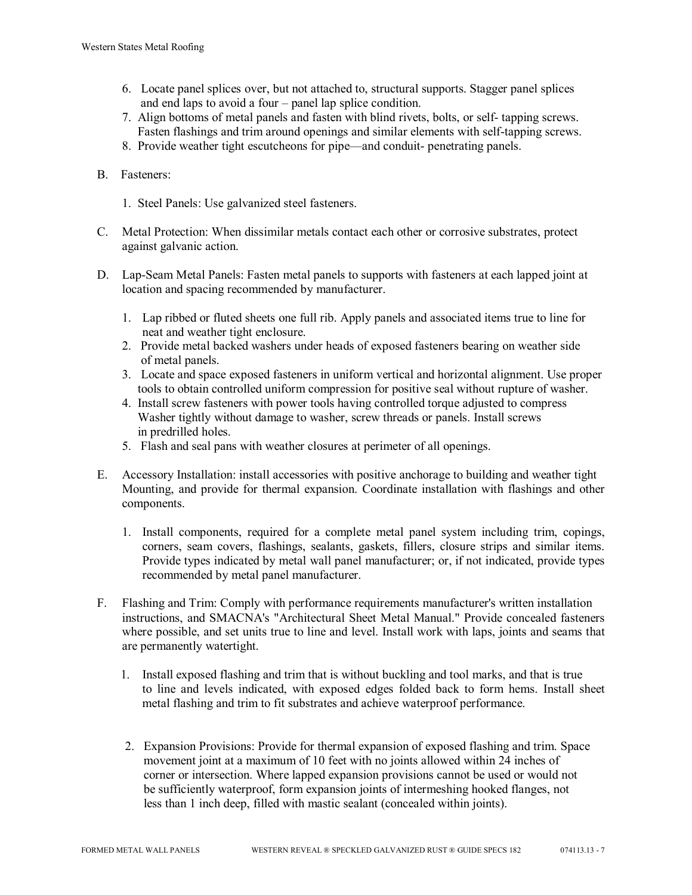- 6. Locate panel splices over, but not attached to, structural supports. Stagger panel splices and end laps to avoid a four – panel lap splice condition.
- 7. Align bottoms of metal panels and fasten with blind rivets, bolts, or self- tapping screws. Fasten flashings and trim around openings and similar elements with self-tapping screws.
- 8. Provide weather tight escutcheons for pipe—and conduit- penetrating panels.
- B. Fasteners:
	- 1. Steel Panels: Use galvanized steel fasteners.
- C. Metal Protection: When dissimilar metals contact each other or corrosive substrates, protect against galvanic action.
- D. Lap-Seam Metal Panels: Fasten metal panels to supports with fasteners at each lapped joint at location and spacing recommended by manufacturer.
	- 1. Lap ribbed or fluted sheets one full rib. Apply panels and associated items true to line for neat and weather tight enclosure.
	- 2. Provide metal backed washers under heads of exposed fasteners bearing on weather side of metal panels.
	- 3. Locate and space exposed fasteners in uniform vertical and horizontal alignment. Use proper tools to obtain controlled uniform compression for positive seal without rupture of washer.
	- 4. Install screw fasteners with power tools having controlled torque adjusted to compress Washer tightly without damage to washer, screw threads or panels. Install screws in predrilled holes.
	- 5. Flash and seal pans with weather closures at perimeter of all openings.
- E. Accessory Installation: install accessories with positive anchorage to building and weather tight Mounting, and provide for thermal expansion. Coordinate installation with flashings and other components.
	- 1. Install components, required for a complete metal panel system including trim, copings, corners, seam covers, flashings, sealants, gaskets, fillers, closure strips and similar items. Provide types indicated by metal wall panel manufacturer; or, if not indicated, provide types recommended by metal panel manufacturer.
- F. Flashing and Trim: Comply with performance requirements manufacturer's written installation instructions, and SMACNA's "Architectural Sheet Metal Manual." Provide concealed fasteners where possible, and set units true to line and level. Install work with laps, joints and seams that are permanently watertight.
	- 1. Install exposed flashing and trim that is without buckling and tool marks, and that is true to line and levels indicated, with exposed edges folded back to form hems. Install sheet metal flashing and trim to fit substrates and achieve waterproof performance.
	- 2. Expansion Provisions: Provide for thermal expansion of exposed flashing and trim. Space movement joint at a maximum of 10 feet with no joints allowed within 24 inches of corner or intersection. Where lapped expansion provisions cannot be used or would not be sufficiently waterproof, form expansion joints of intermeshing hooked flanges, not less than 1 inch deep, filled with mastic sealant (concealed within joints).